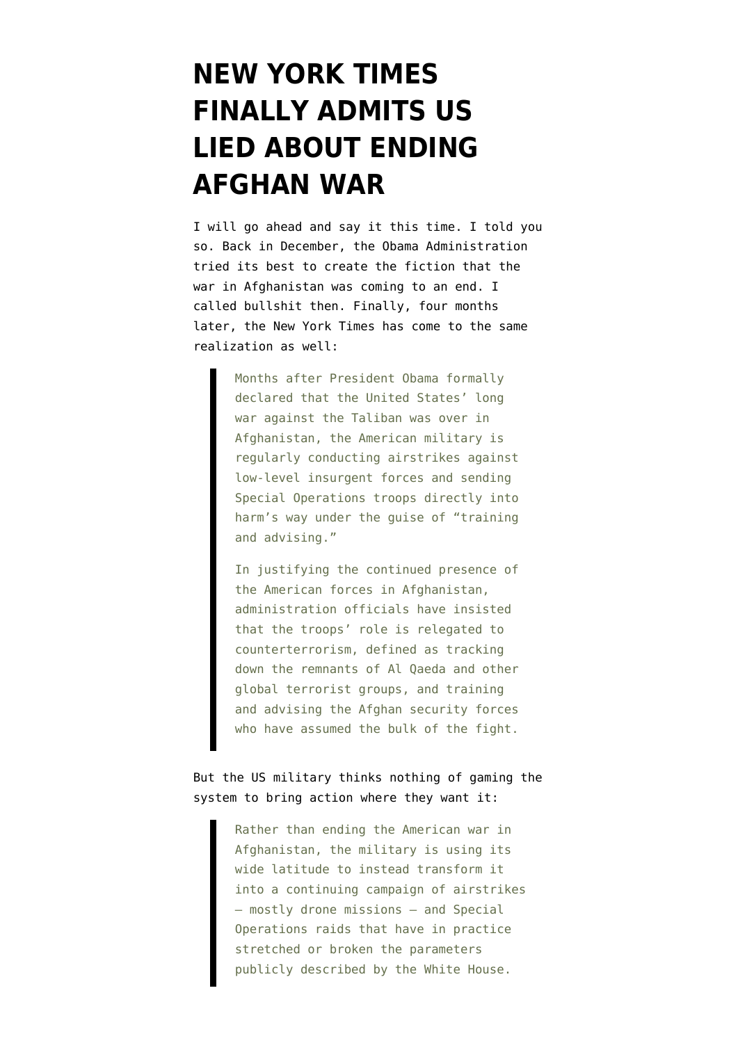## **[NEW YORK TIMES](https://www.emptywheel.net/2015/04/30/new-york-times-finally-admits-us-lied-about-ending-afghan-war/) [FINALLY ADMITS US](https://www.emptywheel.net/2015/04/30/new-york-times-finally-admits-us-lied-about-ending-afghan-war/) [LIED ABOUT ENDING](https://www.emptywheel.net/2015/04/30/new-york-times-finally-admits-us-lied-about-ending-afghan-war/) [AFGHAN WAR](https://www.emptywheel.net/2015/04/30/new-york-times-finally-admits-us-lied-about-ending-afghan-war/)**

I will go ahead and say it this time. [I told you](https://www.emptywheel.net/2014/12/29/no-the-war-in-afghanistan-did-not-end/) [so.](https://www.emptywheel.net/2014/12/29/no-the-war-in-afghanistan-did-not-end/) Back in December, the Obama Administration tried its best to create the fiction that the war in Afghanistan was coming to an end. I called bullshit then. Finally, four months later, the [New York Times](http://www.nytimes.com/2015/04/30/world/asia/more-aggressive-role-by-us-military-is-seen-in-afghanistan.html) has come to the same realization as well:

> Months after President Obama formally declared that the United States' long war against the Taliban was over in Afghanistan, the American military is regularly conducting airstrikes against low-level insurgent forces and sending Special Operations troops directly into harm's way under the guise of "training and advising."

> In justifying the continued presence of the American forces in Afghanistan, administration officials have insisted that the troops' role is relegated to counterterrorism, defined as tracking down the remnants of Al Qaeda and other global terrorist groups, and training and advising the Afghan security forces who have assumed the bulk of the fight.

## But the US military thinks nothing of gaming the system to bring action where they want it:

Rather than ending the American war in Afghanistan, the military is using its wide latitude to instead transform it into a continuing campaign of airstrikes — mostly drone missions — and Special Operations raids that have in practice stretched or broken the parameters publicly described by the White House.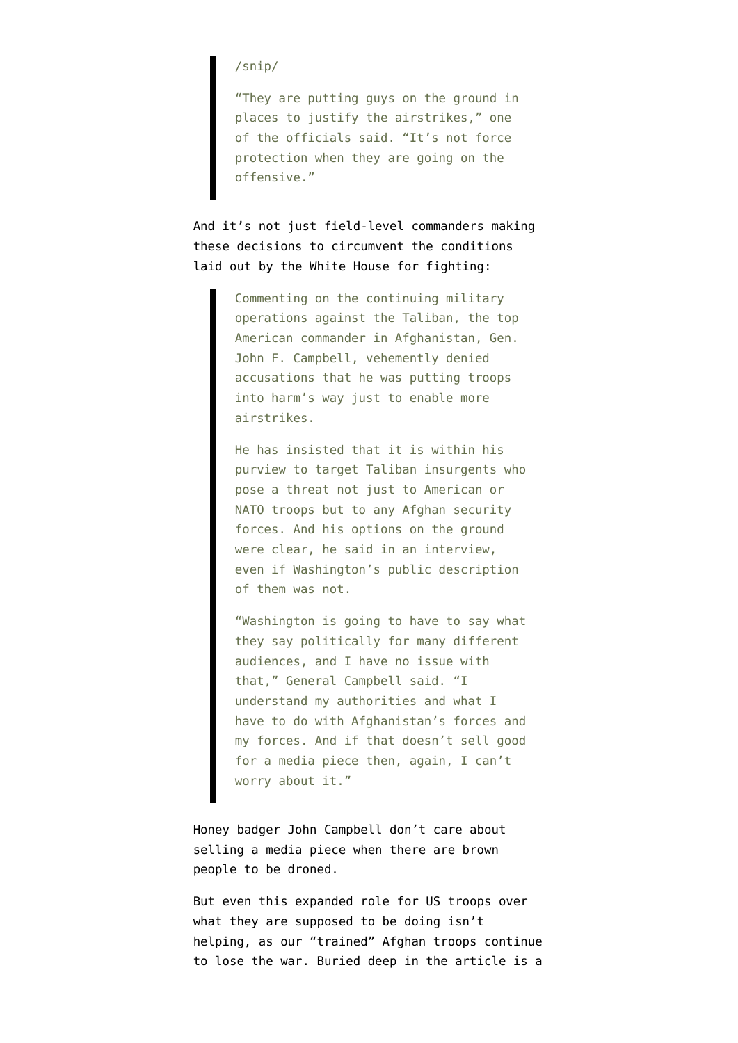## /snip/

"They are putting guys on the ground in places to justify the airstrikes," one of the officials said. "It's not force protection when they are going on the offensive."

And it's not just field-level commanders making these decisions to circumvent the conditions laid out by the White House for fighting:

> Commenting on the continuing military operations against the Taliban, the top American commander in Afghanistan, Gen. John F. Campbell, vehemently denied accusations that he was putting troops into harm's way just to enable more airstrikes.

He has insisted that it is within his purview to target Taliban insurgents who pose a threat not just to American or NATO troops but to any Afghan security forces. And his options on the ground were clear, he said in an interview, even if Washington's public description of them was not.

"Washington is going to have to say what they say politically for many different audiences, and I have no issue with that," General Campbell said. "I understand my authorities and what I have to do with Afghanistan's forces and my forces. And if that doesn't sell good for a media piece then, again, I can't worry about it."

Honey badger John Campbell don't care about selling a media piece when there are brown people to be droned.

But even this expanded role for US troops over what they are supposed to be doing isn't helping, as our "trained" Afghan troops continue to lose the war. Buried deep in the article is a